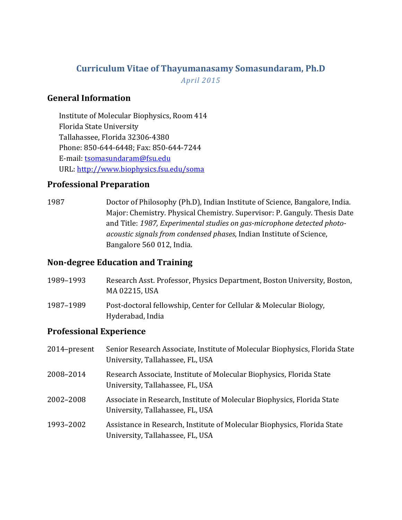# **Curriculum Vitae of Thayumanasamy Somasundaram, Ph.D** *April 2015*

## **General Information**

Institute of Molecular Biophysics, Room 414 Florida State University Tallahassee, Florida 32306-4380 Phone: 850-644-6448; Fax: 850-644-7244 E-mail: [tsomasundaram@fsu.edu](mailto:tsomasundaram@fsu.edu) URL:<http://www.biophysics.fsu.edu/soma>

# **Professional Preparation**

1987 Doctor of Philosophy (Ph.D), Indian Institute of Science, Bangalore, India. Major: Chemistry. Physical Chemistry. Supervisor: P. Ganguly. Thesis Date and Title: *1987, Experimental studies on gas-microphone detected photoacoustic signals from condensed phases*, Indian Institute of Science, Bangalore 560 012, India.

### **Non-degree Education and Training**

- 1989–1993 Research Asst. Professor, Physics Department, Boston University, Boston, MA 02215, USA 1987–1989 Post-doctoral fellowship, Center for Cellular & Molecular Biology,
	- Hyderabad, India

# **Professional Experience**

| 2014-present | Senior Research Associate, Institute of Molecular Biophysics, Florida State<br>University, Tallahassee, FL, USA |
|--------------|-----------------------------------------------------------------------------------------------------------------|
| 2008-2014    | Research Associate, Institute of Molecular Biophysics, Florida State<br>University, Tallahassee, FL, USA        |
| 2002-2008    | Associate in Research, Institute of Molecular Biophysics, Florida State<br>University, Tallahassee, FL, USA     |
| 1993-2002    | Assistance in Research, Institute of Molecular Biophysics, Florida State<br>University, Tallahassee, FL, USA    |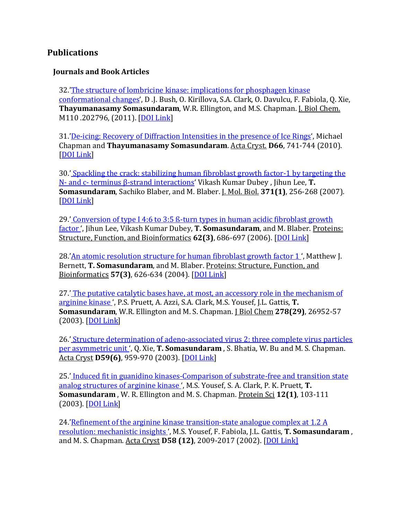### **Publications**

#### **Journals and Book Articles**

32.['The structure of lombricine kinase: implications for phosphagen kinase](http://www.jbc.org/content/early/2011/01/06/jbc.M110.202796.full.pdf)  [conformational changes'](http://www.jbc.org/content/early/2011/01/06/jbc.M110.202796.full.pdf), D .J. Bush, O. Kirillova, S.A. Clark, O. Davulcu, F. Fabiola, Q. Xie, **Thayumanasamy Somasundaram**, W.R. Ellington, and M.S. Chapman. J. Biol Chem. M110 .202796, (2011). [\[DOI Link\]](http://www.jbc.org/lookup/doi/10.1074/jbc.M110.202796)

31.['De-icing: Recovery of Diffraction Intensities in the presence of Ice Rings'](http://journals.iucr.org/d/issues/2010/06/00/ea5117/index.html), Michael Chapman and **Thayumanasamy Somasundaram**. Acta Cryst. **D66**, 741-744 (2010). [\[DOI Link\]](http://dx.doi.org/10.1107/S0907444910012436)

30.' [Spackling the crack: stabilizing human fibroblast growth factor-1 by targeting the](https://www.sciencedirect.com/science/article/pii/S002228360700705X?np=y)  N- and c- terminus β[-strand interactions'](https://www.sciencedirect.com/science/article/pii/S002228360700705X?np=y) Vikash Kumar Dubey , Jihun Lee, **T. Somasundaram**, Sachiko Blaber, and M. Blaber. J. Mol. Biol. **371(1)**, 256-268 (2007). [\[DOI Link\]](http://dx.doi.org/10.1016/j.jmb.2007.05.065)

29.' [Conversion of type I 4:6 to 3:5 ß-turn types in human acidic fibroblast growth](http://onlinelibrary.wiley.com/doi/10.1002/prot.20808/abstract)  [factor '](http://onlinelibrary.wiley.com/doi/10.1002/prot.20808/abstract), Jihun Lee, Vikash Kumar Dubey, **T. Somasundaram**, and M. Blaber. Proteins: Structure, Function, and Bioinformatics **62(3)**, 686-697 (2006). [\[DOI Link\]](http://dx.doi.org/10.1002/prot.20808)

28.'An atomic resolution structure for human fibroblast growth factor 1', Matthew J. Bernett, **T. Somasundaram**, and M. Blaber. Proteins: Structure, Function, and Bioinformatics **57(3)**, 626-634 (2004). [\[DOI Link\]](http://dx.doi.org/10.1002/prot.20239)

27.' [The putative catalytic bases have, at most, an accessory role in the mechanism of](http://www.jbc.org/content/278/29/26952)  [arginine kinase '](http://www.jbc.org/content/278/29/26952), P.S. Pruett, A. Azzi, S.A. Clark, M.S. Yousef, J.L. Gattis, **T. Somasundaram**, W.R. Ellington and M. S. Chapman. J Biol Chem **278(29)**, 26952-57 (2003). [\[DOI Link\]](http://dx.doi.org/10.1074/jbc.M212931200)

26.' [Structure determination of adeno-associated virus 2: three complete virus particles](http://onlinelibrary.wiley.com/doi/10.1107/S0907444903005675/abstract)  [per asymmetric unit '](http://onlinelibrary.wiley.com/doi/10.1107/S0907444903005675/abstract), Q. Xie, **T. Somasundaram** , S. Bhatia, W. Bu and M. S. Chapman. Acta Cryst **D59(6)**, 959-970 (2003). [\[DOI Link\]](http://dx.doi.org/10.1107/S0907444903005675)

25.' Induced fit in guanidino kinases-Comparison of substrate-free and transition state [analog structures of arginine kinase '](http://onlinelibrary.wiley.com/doi/10.1110/ps.0226303/abstract), M.S. Yousef, S. A. Clark, P. K. Pruett, **T. Somasundaram** , W. R. Ellington and M. S. Chapman. Protein Sci **12(1)**, 103-111  $(2003)$ .  $[$ DOI Link]

24.'Refinement of the arginine kinase transition-state analogue complex at 1.2 A [resolution: mechanistic insights '](http://onlinelibrary.wiley.com/doi/10.1107/S0907444902014683/abstract), M.S. Yousef, F. Fabiola, J.L. Gattis, **T. Somasundaram** , and M. S. Chapman. Acta Cryst **D58 (12)**, 2009-2017 (2002). [\[DOI Link\]](http://dx.doi.org/10.1107/S0907444902014683)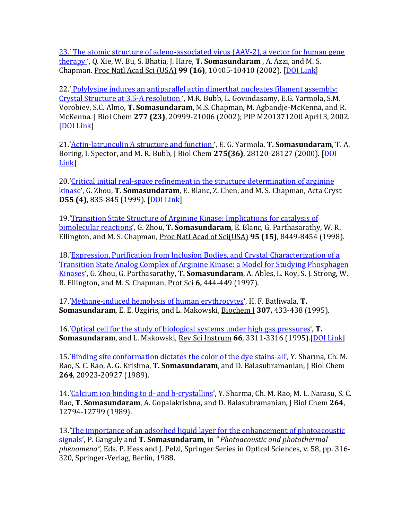[23.'](http://dx.doi.org/10.1107/S0907444902014683) [The atomic structure of adeno-associated virus \(AAV-2\), a vector for human gene](http://dx.doi.org/10.1107/S0907444902014683)  [therapy '](http://www.pnas.org/content/99/16/10405), Q. Xie, W. Bu, S. Bhatia, J. Hare, **T. Somasundaram** , A. Azzi, and M. S. Chapman. Proc Natl Acad Sci (USA) **99 (16)**, 10405-10410 (2002). [\[DOI Link\]](http://dx.doi.org/10.1073/pnas.162250899)

22.' [Polylysine induces an antiparallel actin dimerthat nucleates filament assembly:](http://www.jbc.org/content/early/2002/04/03/jbc.M201371200)  [Crystal Structure at 3.5-A resolution '](http://www.jbc.org/content/early/2002/04/03/jbc.M201371200), M.R. Bubb, L. Govindasamy, E.G. Yarmola, S.M. Vorobiev, S.C. Almo, **T. Somasundaram**, M.S. Chapman, M. Agbandje-McKenna, and R. McKenna. J Biol Chem **277 (23)**, 20999-21006 (2002); PIP M201371200 April 3, 2002. [\[DOI Link\]](http://dx.doi.org/10.1074/jbc.M201371200)

21.['Actin-latrunculin A structure and function '](http://www.jbc.org/content/early/2000/06/19/jbc.M004253200), E. G. Yarmola, **T. Somasundaram**, T. A. Boring, I. Spector, and M. R. Bubb, J Biol Chem **275(36)**, 28120-28127 (2000). [\[DOI](http://dx.doi.org/10.1074/jbc.M004253200)  [Link\]](http://dx.doi.org/10.1074/jbc.M004253200)

20.['Critical initial real-space refinement in the structure determination of arginine](http://journals.iucr.org/d/issues/1999/04/00/sx0024/index.html)  [kinase'](http://journals.iucr.org/d/issues/1999/04/00/sx0024/index.html), G. Zhou, **T. Somasundaram**, E. Blanc, Z. Chen, and M. S. Chapman, Acta Cryst **D55 (4)**, 835-845 (1999). [\[DOI Link\]](http://dx.doi.org/10.1107/S0907444999000888)

19.['Transition State Structure of Arginine Kinase: Implications for catalysis of](http://www.pnas.org/content/95/15/8449.full)  [bimolecular reactions'](http://www.pnas.org/content/95/15/8449.full), G. Zhou, **T. Somasundaram**, E. Blanc, G. Parthasarathy, W. R. Ellington, and M. S. Chapman, Proc Natl Acad of Sci(USA) **95 (15)**, 8449-8454 (1998).

18.['Expression, Purification from Inclusion Bodies, and Crystal Characterization of a](http://onlinelibrary.wiley.com/doi/10.1002/pro.5560060222/abstract)  [Transition State Analog Complex of Arginine Kinase: a Model for Studying Phosphagen](http://onlinelibrary.wiley.com/doi/10.1002/pro.5560060222/abstract)  [Kinases'](http://onlinelibrary.wiley.com/doi/10.1002/pro.5560060222/abstract), G. Zhou, G. Parthasarathy, **T. Somasundaram**, A. Ables, L. Roy, S. J. Strong, W. R. Ellington, and M. S. Chapman, Prot Sci **6,** 444-449 (1997).

17.['Methane-induced hemolysis of human erythrocytes'](http://www.biochemj.org/bj/307/0433/3070433.pdf), H. F. Batliwala, **T. Somasundaram**, E. E. Uzgiris, and L. Makowski, Biochem J **307,** 433-438 (1995).

16.['Optical cell for the study of biological systems under high gas pressures'](http://scitation.aip.org/content/aip/journal/rsi/66/5/10.1063/1.1146497), **T. Somasundaram**, and L. Makowski, Rev Sci Instrum **66**, 3311-3316 (1995).[\[DOI Link\]](http://dx.doi.org/10.1063/1.1146497)

15.['Binding site conformation dictates the color of the dye stains-all'](http://www.jbc.org/content/264/35/20923.full.pdf+html), Y. Sharma, Ch. M. Rao, S. C. Rao, A. G. Krishna, **T. Somasundaram**, and D. Balasubramanian, J Biol Chem **264**, 20923-20927 (1989).

14.['Calcium ion binding to d-](http://www.jbc.org/content/264/22/12794.full.pdf+html) and b-crystallins', Y. Sharma, Ch. M. Rao, M. L. Narasu, S. C. Rao, **T. Somasundaram**, A. Gopalakrishna, and D. Balasubramanian, J Biol Chem **264**, 12794-12799 (1989).

13.['The importance of an adsorbed liquid layer for the enhancement of photoacoustic](http://biophysics.fsu.edu/~soma/Publications/pas_meet1.html)  [signals'](http://biophysics.fsu.edu/~soma/Publications/pas_meet1.html), P. Ganguly and **T. Somasundaram**, in *" Photoacoustic and photothermal phenomena",* Eds. P. Hess and J. Pelzl, Springer Series in Optical Sciences, v. 58, pp. 316- 320, Springer-Verlag, Berlin, 1988.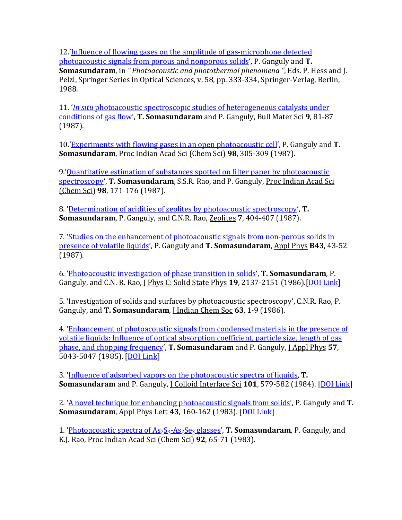12.['Influence of flowing gases on the amplitude of gas-microphone detected](http://biophysics.fsu.edu/~soma/Publications/pas_meet2.html)  [photoacoustic signals from porous and nonporous solids'](http://biophysics.fsu.edu/~soma/Publications/pas_meet2.html), P. Ganguly and **T. Somasundaram**, in *" Photoacoustic and photothermal phenomena "*, Eds. P. Hess and J. Pelzl, Springer Series in Optical Sciences, v. 58, pp. 333-334, Springer-Verlag, Berlin, 1988.

11. '*In situ* [photoacoustic spectroscopic studies of heterogeneous catalysts under](http://www.ias.ac.in/j_archive/bms/9/1/81-88/viewpage.html)  [conditions of gas flow',](http://www.ias.ac.in/j_archive/bms/9/1/81-88/viewpage.html) **T. Somasundaram** and P. Ganguly, Bull Mater Sci **9**, 81-87 (1987).

10.['Experiments with flowing gases in an](http://www.ias.ac.in/j_archive/chemsci/98/4/305-310/viewpage.html) open photoacoustic cell', P. Ganguly and **T. Somasundaram**, Proc Indian Acad Sci (Chem Sci) **98**, 305-309 (1987).

9.'Quantitative estimation of substances spotted on filter paper by photoacoustic [spectroscopy'](http://www.ias.ac.in/j_archive/chemsci/98/2/171-176/viewpage.html), **T. Somasundaram**, S.S.R. Rao, and P. Ganguly, Proc Indian Acad Sci (Chem Sci) **98**, 171-176 (1987).

8. ['Determination of acidities of zeolites by photoacoustic spectroscopy'](https://www.sciencedirect.com/science/article/pii/0144244987900042?np=y), **T. Somasundaram**, P. Ganguly, and C.N.R. Rao, Zeolites **7**, 404-407 (1987).

7. ['Studies on the enhancement of photoacoustic signals from non-porous solids in](http://link.springer.com/article/10.1007/BF00693971)  [presence of volatile liquids'](http://link.springer.com/article/10.1007/BF00693971), P. Ganguly and **T. Somasundaram**, Appl Phys **B43**, 43-52 (1987).

6. ['Photoacoustic investigation of phase transition in solids'](http://biophysics.fsu.edu/~soma/Pubs/Yr1987Nr01.html), **T. Somasundaram**, P. Ganguly, and C.N. R. Rao, J Phys C: Solid State Phys **19**, 2137-2151 (1986).[\[DOI Link\]](http://dx.doi.org/10.1088/0022-3719/19/13/006)

5. 'Investigation of solids and surfaces by photoacoustic spectroscopy', C.N.R. Rao, P. Ganguly, and **T. Somasundaram**, J Indian Chem Soc **63**, 1-9 (1986).

4. ['Enhancement of photoacoustic signals from condensed materials in the presence of](http://biophysics.fsu.edu/~soma/Pubs/Yr1985Nr01.html)  [volatile liquids: Influence of optical absorption coefficient,](http://biophysics.fsu.edu/~soma/Pubs/Yr1985Nr01.html) particle size, length of gas [phase, and chopping frequency'](http://biophysics.fsu.edu/~soma/Pubs/Yr1985Nr01.html), **T. Somasundaram** and P. Ganguly, J Appl Phys **57**, 5043-5047 (1985). [\[DOI Link\]](http://dx.doi.org/10.1063/1.335281)

3. ['Influence of adsorbed vapors on the photoacoustic spectra of liquids,](https://www.sciencedirect.com/science/article/pii/0021979784900717?np=y) **T. Somasundaram** and P. Ganguly, J Colloid Interface Sci **101**, 579-582 (1984). [\[DOI Link\]](http://dx.doi.org/10.1016/0021-9797%2884%2990071-7)

2. ['A novel technique for enhancing photoacoustic signals from solids',](http://biophysics.fsu.edu/~soma/Pubs/Yr1983Nr01.html) P. Ganguly and **T. Somasundaram**, Appl Phys Lett **43**, 160-162 (1983). [\[DOI Link\]](http://dx.doi.org/10.1063/1.94265)

1. 'Photoacoustic spectra of As<sub>2</sub>S<sub>3</sub>-As<sub>2</sub>Se<sub>3</sub> glasses', **T. Somasundaram**, P. Ganguly, and K.J. Rao, Proc Indian Acad Sci (Chem Sci) **92**, 65-71 (1983).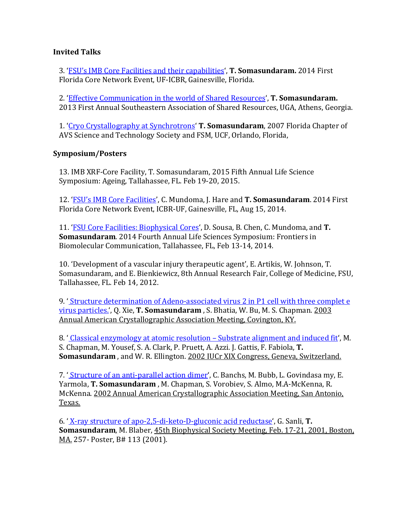#### **Invited Talks**

3. ['FSU's IMB Core Facilities and their capabilities'](http://www.biotech.ufl.edu/florida-core-networking/), **T. Somasundaram.** 2014 First Florida Core Network Event, UF-ICBR, Gainesville, Florida.

2. ['Effective Communication in the world of Shared Resources'](http://biophysics.fsu.edu/soma/wp-content/uploads/sites/13/2013/07/ECiWoSR.pdf), **T. Somasundaram.**  2013 First Annual Southeastern Association of Shared Resources, UGA, Athens, Georgia.

1. ['Cryo Crystallography at Synchrotrons'](http://biophysics.fsu.edu/soma/wp-content/uploads/sites/13/2013/07/CryoCrystallographyAtSynchrotrons.pdf) **T. Somasundaram**, 2007 Florida Chapter of AVS Science and Technology Society and FSM, UCF, Orlando, Florida,

#### **Symposium/Posters**

13. IMB XRF-Core Facility, T. Somasundaram, 2015 Fifth Annual Life Science Symposium: Ageing, Tallahassee, FL. Feb 19-20, 2015.

12. 'FSU's [IMB Core Facilities'](http://www.biotech.ufl.edu/florida-core-networking/?utm_source=Materials+Available%3A+Florida+Core+Network+Event&utm_campaign=Materials%3A+Fla+Core+Network+event&utm_medium=email), C. Mundoma, J. Hare and **T. Somasundaram**. 2014 First Florida Core Network Event, ICBR-UF, Gainesville, FL, Aug 15, 2014.

11. 'FSU [Core Facilities: Biophysical Cores'](http://biophysics.fsu.edu/soma/wp-content/uploads/sites/13/2014/02/LSS-Biophys-Cores.pdf), D. Sousa, B. Chen, C. Mundoma, and **T. Somasundaram**. 2014 Fourth Annual Life Sciences Symposium: Frontiers in Biomolecular Communication, Tallahassee, FL, Feb 13-14, 2014.

10. 'Development of a vascular injury therapeutic agent', E. Artikis, W. Johnson, T. Somasundaram, and E. Bienkiewicz, 8th Annual Research Fair, College of Medicine, FSU, Tallahassee, FL. Feb 14, 2012.

9. ' [Structure determination of Adeno-associated virus 2 in P1 cell with three complet e](http://biophysics.fsu.edu/~soma/Publications/poster9.html)  [virus particles.'](http://biophysics.fsu.edu/~soma/Publications/poster9.html), Q. Xie, **T. Somasundaram** , S. Bhatia, W. Bu, M. S. Chapman. 2003 Annual American Crystallographic Association Meeting, Covington, KY.

8. <u>'[Classical enzymology at atomic resolution –](http://biophysics.fsu.edu/~soma/Publications/poster8.html) Substrate alignment and induced fit</u>, M. S. Chapman, M. Yousef, S. A. Clark, P. Pruett, A. Azzi. J. Gattis, F. Fabiola, **T. Somasundaram** , and W. R. Ellington. 2002 IUCr XIX Congress, Geneva, Switzerland.

7. <u>'Structure of an anti-parallel action dimer</u>', C. Banchs, M. Bubb, L. Govindasa my, E. Yarmola, **T. Somasundaram** , M. Chapman, S. Vorobiev, S. Almo, M.A-McKenna, R. McKenna. 2002 Annual American Crystallographic Association Meeting, San Antonio, Texas.

6. ' [X-ray structure of apo-2,5-di-keto-D-gluconic acid reductase'](http://biophysics.fsu.edu/~soma/Publications/poster6.html), G. Sanli, **T. Somasundaram**, M. Blaber, 45th Biophysical Society Meeting, Feb. 17-21, 2001, Boston, MA. 257- Poster, B# 113 (2001).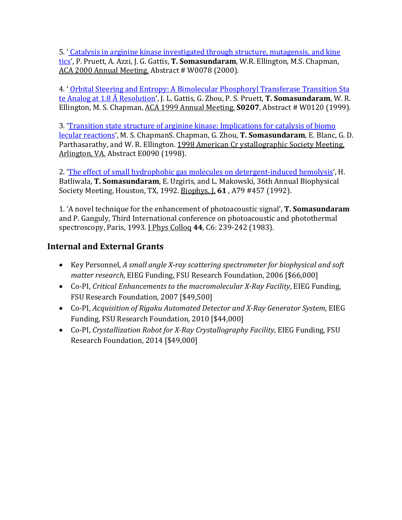5. ' [Catalysis in arginine kinase investigated through structure, mutagensis, and kine](http://biophysics.fsu.edu/~soma/Publications/poster5.html)  [tics'](http://biophysics.fsu.edu/~soma/Publications/poster5.html), P. Pruett, A. Azzi, J. G. Gattis, **T. Somasundaram**, W.R. Ellington, M.S. Chapman, ACA 2000 Annual Meeting. Abstract # W0078 (2000).

4. ' [Orbital Steering and Entropy: A Bimolecular Phosphoryl Transferase Transition Sta](http://biophysics.fsu.edu/~soma/Publications/poster4.html)  [te Analog at 1.8 Å Resolution'](http://biophysics.fsu.edu/~soma/Publications/poster4.html), J. L. Gattis, G. Zhou, P. S. Pruett, **T. Somasundaram**, W. R. Ellington, M. S. Chapman, ACA 1999 Annual Meeting. **S0207**, Abstract # W0120 (1999).

3. ['Transition state structure of arginine kinase: Implications for catalysis of biomo](http://biophysics.fsu.edu/~soma/Publications/poster3.html)  [lecular reactions',](http://biophysics.fsu.edu/~soma/Publications/poster3.html) M. S. ChapmanS. Chapman, G. Zhou, **T. Somasundaram**, E. Blanc, G. D. Parthasarathy, and W. R. Ellington. 1998 American Cr ystallographic Society Meeting, Arlington, VA. Abstract E0090 (1998).

2. ['The effect of small hydrophobic gas molecules on detergent-induced hemolysis'](http://biophysics.fsu.edu/~soma/Publications/poster2.html), H. Batliwala, **T. Somasundaram**, E. Uzgiris, and L. Makowski, 36th Annual Biophysical Society Meeting, Houston, TX, 1992. Biophys. J. **61** , A79 #457 (1992).

1. 'A novel technique for the enhancement of photoacoustic signal', **T. Somasundaram** and P. Ganguly, Third International conference on photoacoustic and photothermal spectroscopy, Paris, 1993. *[Phys Collog 44, C6: 239-242 (1983).* 

# **Internal and External Grants**

- Key Personnel, *A small angle X-ray scattering spectrometer for biophysical and soft matter research*, EIEG Funding, FSU Research Foundation, 2006 [\$66,000]
- Co-PI, *Critical Enhancements to the macromolecular X-Ray Facility*, EIEG Funding, FSU Research Foundation, 2007 [\$49,500]
- Co-PI, *Acquisition of Rigaku Automated Detector and X-Ray Generator System*, EIEG Funding, FSU Research Foundation, 2010 [\$44,000]
- Co-PI, *Crystallization Robot for X-Ray Crystallography Facility*, EIEG Funding, FSU Research Foundation, 2014 [\$49,000]